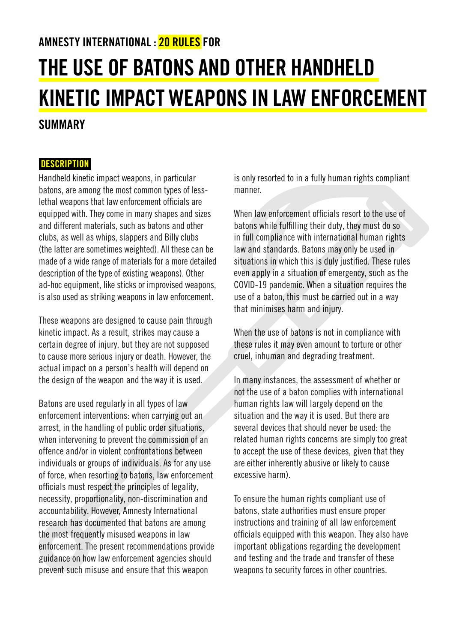## AMNESTY INTERNATIONAL · <mark>20 RIII ES</mark> FOR

# THE USE OF BATONS AND OTHER HANDHELD KINETIC IMPACT WEAPONS IN LAW ENFORCEMENT

### **SUMMARY**

#### **DESCRIPTION**

Handheld kinetic impact weapons, in particular batons, are among the most common types of lesslethal weapons that law enforcement officials are equipped with. They come in many shapes and sizes and different materials, such as batons and other clubs, as well as whips, slappers and Billy clubs (the latter are sometimes weighted). All these can be made of a wide range of materials for a more detailed description of the type of existing weapons). Other ad-hoc equipment, like sticks or improvised weapons, is also used as striking weapons in law enforcement.

These weapons are designed to cause pain through kinetic impact. As a result, strikes may cause a certain degree of injury, but they are not supposed to cause more serious injury or death. However, the actual impact on a person's health will depend on the design of the weapon and the way it is used.

Batons are used regularly in all types of law enforcement interventions: when carrying out an arrest, in the handling of public order situations, when intervening to prevent the commission of an offence and/or in violent confrontations between individuals or groups of individuals. As for any use of force, when resorting to batons, law enforcement officials must respect the principles of legality, necessity, proportionality, non-discrimination and accountability. However, Amnesty International research has documented that batons are among the most frequently misused weapons in law enforcement. The present recommendations provide guidance on how law enforcement agencies should prevent such misuse and ensure that this weapon

is only resorted to in a fully human rights compliant manner.

When law enforcement officials resort to the use of batons while fulfilling their duty, they must do so in full compliance with international human rights law and standards. Batons may only be used in situations in which this is duly justified. These rules even apply in a situation of emergency, such as the COVID-19 pandemic. When a situation requires the use of a baton, this must be carried out in a way that minimises harm and injury.

When the use of batons is not in compliance with these rules it may even amount to torture or other cruel, inhuman and degrading treatment.

In many instances, the assessment of whether or not the use of a baton complies with international human rights law will largely depend on the situation and the way it is used. But there are several devices that should never be used: the related human rights concerns are simply too great to accept the use of these devices, given that they are either inherently abusive or likely to cause excessive harm).

To ensure the human rights compliant use of batons, state authorities must ensure proper instructions and training of all law enforcement officials equipped with this weapon. They also have important obligations regarding the development and testing and the trade and transfer of these weapons to security forces in other countries.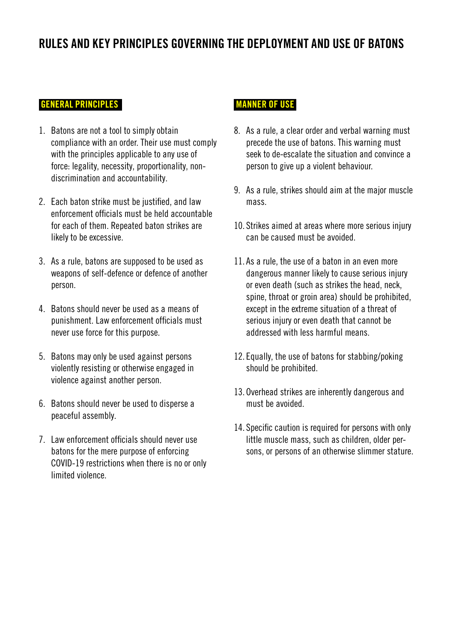## RULES AND KEY PRINCIPLES GOVERNING THE DEPLOYMENT AND USE OF BATONS

#### GENERAL PRINCIPLES

- 1. Batons are not a tool to simply obtain compliance with an order. Their use must comply with the principles applicable to any use of force: legality, necessity, proportionality, nondiscrimination and accountability.
- 2. Each baton strike must be justified, and law enforcement officials must be held accountable for each of them. Repeated baton strikes are likely to be excessive.
- 3. As a rule, batons are supposed to be used as weapons of self-defence or defence of another person.
- 4. Batons should never be used as a means of punishment. Law enforcement officials must never use force for this purpose.
- 5. Batons may only be used against persons violently resisting or otherwise engaged in violence against another person.
- 6. Batons should never be used to disperse a peaceful assembly.
- 7. Law enforcement officials should never use batons for the mere purpose of enforcing COVID-19 restrictions when there is no or only limited violence.

#### MANNER OF USE

- 8. As a rule, a clear order and verbal warning must precede the use of batons. This warning must seek to de-escalate the situation and convince a person to give up a violent behaviour.
- 9. As a rule, strikes should aim at the major muscle mass.
- 10. Strikes aimed at areas where more serious injury can be caused must be avoided.
- 11. As a rule, the use of a baton in an even more dangerous manner likely to cause serious injury or even death (such as strikes the head, neck, spine, throat or groin area) should be prohibited, except in the extreme situation of a threat of serious injury or even death that cannot be addressed with less harmful means.
- 12. Equally, the use of batons for stabbing/poking should be prohibited.
- 13. Overhead strikes are inherently dangerous and must be avoided.
- 14. Specific caution is required for persons with only little muscle mass, such as children, older persons, or persons of an otherwise slimmer stature.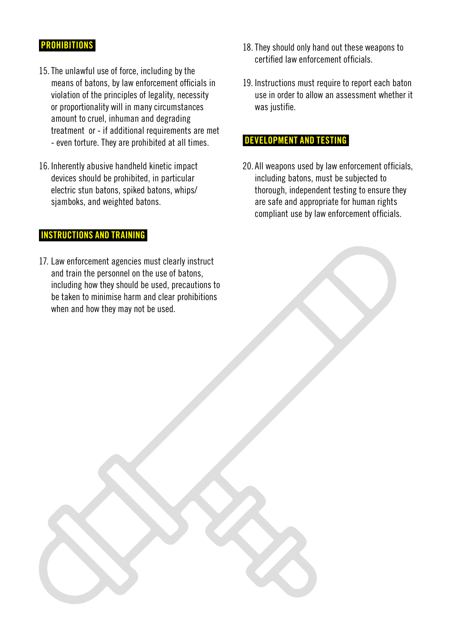#### **PROHIBITIONS**

- 15.The unlawful use of force, including by the means of batons, by law enforcement officials in violation of the principles of legality, necessity or proportionality will in many circumstances amount to cruel, inhuman and degrading treatment or - if additional requirements are met - even torture. They are prohibited at all times.
- 16. Inherently abusive handheld kinetic impact devices should be prohibited, in particular electric stun batons, spiked batons, whips/ siamboks, and weighted batons.

#### INSTRUCTIONS AND TRAINING

17. Law enforcement agencies must clearly instruct and train the personnel on the use of batons, including how they should be used, precautions to be taken to minimise harm and clear prohibitions when and how they may not be used.

- 18.They should only hand out these weapons to certified law enforcement officials.
- 19. Instructions must require to report each baton use in order to allow an assessment whether it was justifie.

#### DEVELOPMENT AND TESTING

20. All weapons used by law enforcement officials, including batons, must be subjected to thorough, independent testing to ensure they are safe and appropriate for human rights compliant use by law enforcement officials.